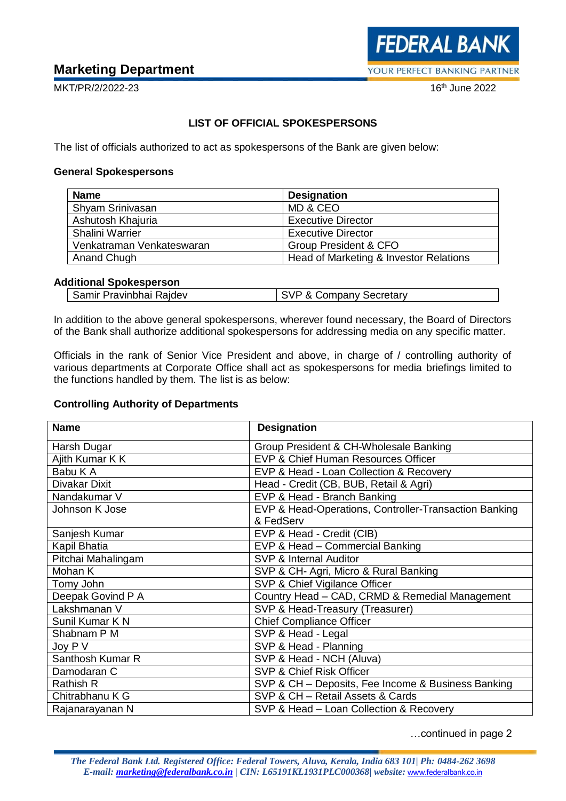# **Marketing Department**

 $16<sup>th</sup>$  June 2022

MKT/PR/2/2022-23

# **LIST OF OFFICIAL SPOKESPERSONS**

The list of officials authorized to act as spokespersons of the Bank are given below:

#### **General Spokespersons**

| <b>Name</b>               | <b>Designation</b>                     |
|---------------------------|----------------------------------------|
| Shyam Srinivasan          | MD & CEO                               |
| Ashutosh Khajuria         | <b>Executive Director</b>              |
| Shalini Warrier           | <b>Executive Director</b>              |
| Venkatraman Venkateswaran | <b>Group President &amp; CFO</b>       |
| Anand Chugh               | Head of Marketing & Investor Relations |

## **Additional Spokesperson**

| SVP & Company Secretary<br>Samir Pravinbhai Rajdev |
|----------------------------------------------------|
|----------------------------------------------------|

In addition to the above general spokespersons, wherever found necessary, the Board of Directors of the Bank shall authorize additional spokespersons for addressing media on any specific matter.

Officials in the rank of Senior Vice President and above, in charge of / controlling authority of various departments at Corporate Office shall act as spokespersons for media briefings limited to the functions handled by them. The list is as below:

## **Controlling Authority of Departments**

| <b>Name</b>        | <b>Designation</b>                                    |
|--------------------|-------------------------------------------------------|
| Harsh Dugar        | Group President & CH-Wholesale Banking                |
| Ajith Kumar K K    | EVP & Chief Human Resources Officer                   |
| Babu K A           | EVP & Head - Loan Collection & Recovery               |
| Divakar Dixit      | Head - Credit (CB, BUB, Retail & Agri)                |
| Nandakumar V       | EVP & Head - Branch Banking                           |
| Johnson K Jose     | EVP & Head-Operations, Controller-Transaction Banking |
|                    | & FedServ                                             |
| Sanjesh Kumar      | EVP & Head - Credit (CIB)                             |
| Kapil Bhatia       | EVP & Head - Commercial Banking                       |
| Pitchai Mahalingam | SVP & Internal Auditor                                |
| Mohan K            | SVP & CH- Agri, Micro & Rural Banking                 |
| Tomy John          | SVP & Chief Vigilance Officer                         |
| Deepak Govind P A  | Country Head - CAD, CRMD & Remedial Management        |
| Lakshmanan V       | SVP & Head-Treasury (Treasurer)                       |
| Sunil Kumar K N    | <b>Chief Compliance Officer</b>                       |
| Shabnam P M        | SVP & Head - Legal                                    |
| Joy P V            | SVP & Head - Planning                                 |
| Santhosh Kumar R   | SVP & Head - NCH (Aluva)                              |
| Damodaran C        | SVP & Chief Risk Officer                              |
| <b>Rathish R</b>   | SVP & CH - Deposits, Fee Income & Business Banking    |
| Chitrabhanu K G    | SVP & CH - Retail Assets & Cards                      |
| Rajanarayanan N    | SVP & Head - Loan Collection & Recovery               |

…continued in page 2